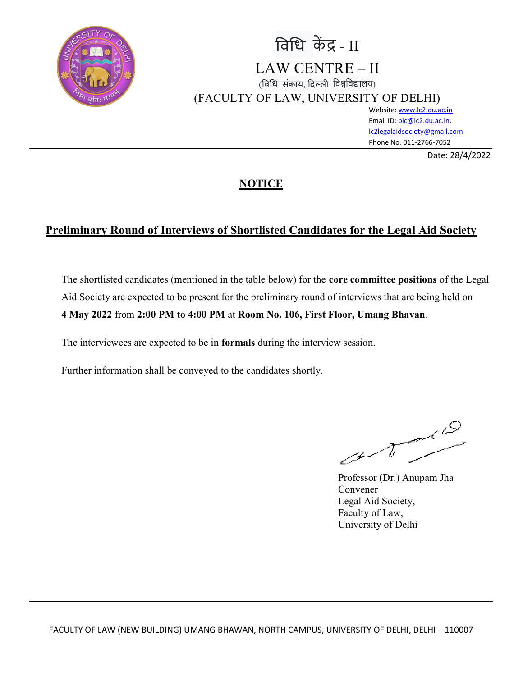

# विधि केंद्र - II LAW CENTRE – II (विधि संकाय, दिल्ली विश्वविद्यालय) (FACULTY OF LAW, UNIVERSITY OF DELHI)

Website: www.lc2.du.ac.in Email ID: pic@lc2.du.ac.in, lc2legalaidsociety@gmail.com Phone No. 011-2766-7052

Date: 28/4/2022

## **NOTICE**

## Preliminary Round of Interviews of Shortlisted Candidates for the Legal Aid Society

The shortlisted candidates (mentioned in the table below) for the core committee positions of the Legal Aid Society are expected to be present for the preliminary round of interviews that are being held on 4 May 2022 from 2:00 PM to 4:00 PM at Room No. 106, First Floor, Umang Bhavan.

The interviewees are expected to be in formals during the interview session.

Further information shall be conveyed to the candidates shortly.

ن<br>مە

Professor (Dr.) Anupam Jha Convener Legal Aid Society, Faculty of Law, University of Delhi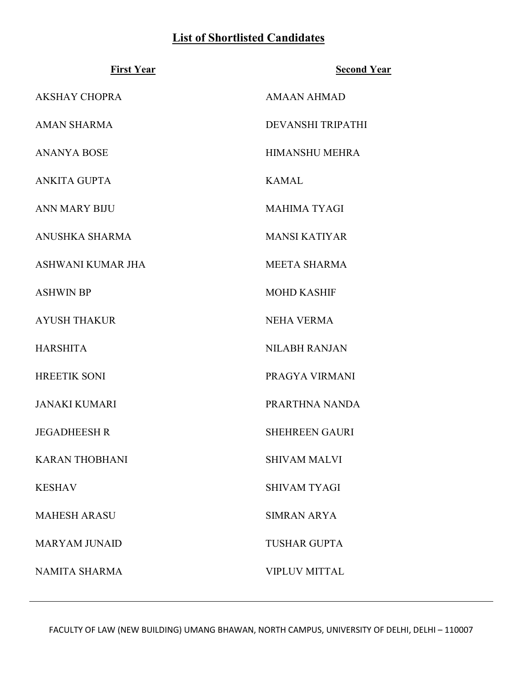## List of Shortlisted Candidates

| <b>First Year</b>     | <b>Second Year</b>       |
|-----------------------|--------------------------|
| <b>AKSHAY CHOPRA</b>  | <b>AMAAN AHMAD</b>       |
| <b>AMAN SHARMA</b>    | <b>DEVANSHI TRIPATHI</b> |
| <b>ANANYA BOSE</b>    | <b>HIMANSHU MEHRA</b>    |
| <b>ANKITA GUPTA</b>   | <b>KAMAL</b>             |
| <b>ANN MARY BIJU</b>  | <b>MAHIMA TYAGI</b>      |
| ANUSHKA SHARMA        | <b>MANSI KATIYAR</b>     |
| ASHWANI KUMAR JHA     | <b>MEETA SHARMA</b>      |
| <b>ASHWIN BP</b>      | <b>MOHD KASHIF</b>       |
| <b>AYUSH THAKUR</b>   | <b>NEHA VERMA</b>        |
| <b>HARSHITA</b>       | <b>NILABH RANJAN</b>     |
| <b>HREETIK SONI</b>   | PRAGYA VIRMANI           |
| <b>JANAKI KUMARI</b>  | PRARTHNA NANDA           |
| <b>JEGADHEESH R</b>   | <b>SHEHREEN GAURI</b>    |
| <b>KARAN THOBHANI</b> | <b>SHIVAM MALVI</b>      |
| <b>KESHAV</b>         | <b>SHIVAM TYAGI</b>      |
| <b>MAHESH ARASU</b>   | <b>SIMRAN ARYA</b>       |
| <b>MARYAM JUNAID</b>  | <b>TUSHAR GUPTA</b>      |
| <b>NAMITA SHARMA</b>  | <b>VIPLUV MITTAL</b>     |

FACULTY OF LAW (NEW BUILDING) UMANG BHAWAN, NORTH CAMPUS, UNIVERSITY OF DELHI, DELHI - 110007